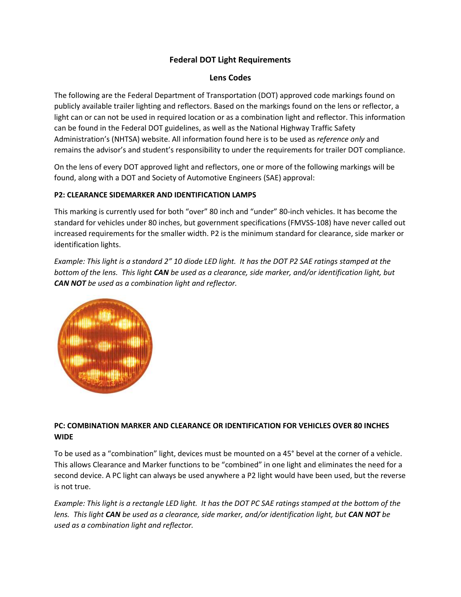#### **Federal DOT Light Requirements**

#### **Lens Codes**

The following are the Federal Department of Transportation (DOT) approved code markings found on publicly available trailer lighting and reflectors. Based on the markings found on the lens or reflector, a light can or can not be used in required location or as a combination light and reflector. This information can be found in the Federal DOT guidelines, as well as the National Highway Traffic Safety Administration's (NHTSA) website. All information found here is to be used as *reference only* and remains the advisor's and student's responsibility to under the requirements for trailer DOT compliance.

On the lens of every DOT approved light and reflectors, one or more of the following markings will be found, along with a DOT and Society of Automotive Engineers (SAE) approval:

#### **P2: CLEARANCE SIDEMARKER AND IDENTIFICATION LAMPS**

This marking is currently used for both "over" 80 inch and "under" 80-inch vehicles. It has become the standard for vehicles under 80 inches, but government specifications (FMVSS-108) have never called out increased requirements for the smaller width. P2 is the minimum standard for clearance, side marker or identification lights.

*Example: This light is a standard 2" 10 diode LED light. It has the DOT P2 SAE ratings stamped at the bottom of the lens. This light CAN be used as a clearance, side marker, and/or identification light, but CAN NOT be used as a combination light and reflector.*



#### **PC: COMBINATION MARKER AND CLEARANCE OR IDENTIFICATION FOR VEHICLES OVER 80 INCHES WIDE**

To be used as a "combination" light, devices must be mounted on a 45° bevel at the corner of a vehicle. This allows Clearance and Marker functions to be "combined" in one light and eliminates the need for a second device. A PC light can always be used anywhere a P2 light would have been used, but the reverse is not true.

*Example: This light is a rectangle LED light. It has the DOT PC SAE ratings stamped at the bottom of the lens. This light CAN be used as a clearance, side marker, and/or identification light, but CAN NOT be used as a combination light and reflector.*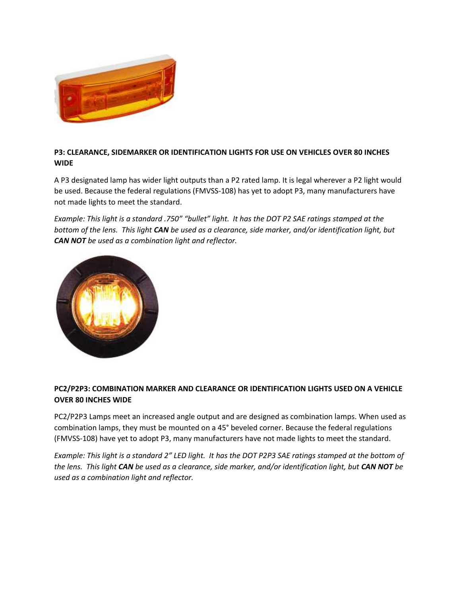

#### **P3: CLEARANCE, SIDEMARKER OR IDENTIFICATION LIGHTS FOR USE ON VEHICLES OVER 80 INCHES WIDE**

A P3 designated lamp has wider light outputs than a P2 rated lamp. It is legal wherever a P2 light would be used. Because the federal regulations (FMVSS-108) has yet to adopt P3, many manufacturers have not made lights to meet the standard.

*Example: This light is a standard .750" "bullet" light. It has the DOT P2 SAE ratings stamped at the bottom of the lens. This light CAN be used as a clearance, side marker, and/or identification light, but CAN NOT be used as a combination light and reflector.*



#### **PC2/P2P3: COMBINATION MARKER AND CLEARANCE OR IDENTIFICATION LIGHTS USED ON A VEHICLE OVER 80 INCHES WIDE**

PC2/P2P3 Lamps meet an increased angle output and are designed as combination lamps. When used as combination lamps, they must be mounted on a 45° beveled corner. Because the federal regulations (FMVSS-108) have yet to adopt P3, many manufacturers have not made lights to meet the standard.

*Example: This light is a standard 2" LED light. It has the DOT P2P3 SAE ratings stamped at the bottom of the lens. This light CAN be used as a clearance, side marker, and/or identification light, but CAN NOT be used as a combination light and reflector.*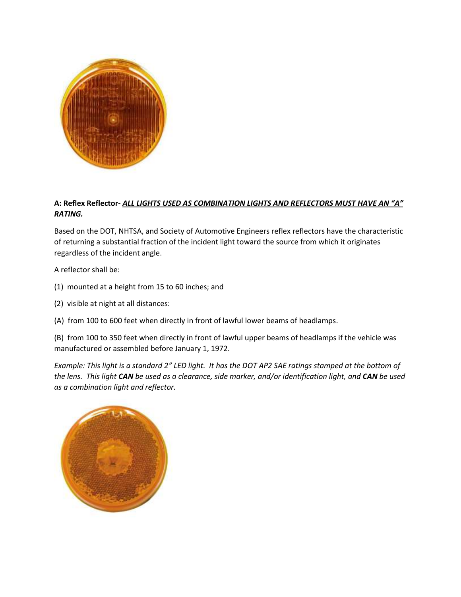

#### **A: Reflex Reflector-** *ALL LIGHTS USED AS COMBINATION LIGHTS AND REFLECTORS MUST HAVE AN "A" RATING.*

Based on the DOT, NHTSA, and Society of Automotive Engineers reflex reflectors have the characteristic of returning a substantial fraction of the incident light toward the source from which it originates regardless of the incident angle.

A reflector shall be:

- (1) mounted at a height from 15 to 60 inches; and
- (2) visible at night at all distances:
- (A) from 100 to 600 feet when directly in front of lawful lower beams of headlamps.

(B) from 100 to 350 feet when directly in front of lawful upper beams of headlamps if the vehicle was manufactured or assembled before January 1, 1972.

*Example: This light is a standard 2" LED light. It has the DOT AP2 SAE ratings stamped at the bottom of the lens. This light CAN be used as a clearance, side marker, and/or identification light, and CAN be used as a combination light and reflector.*

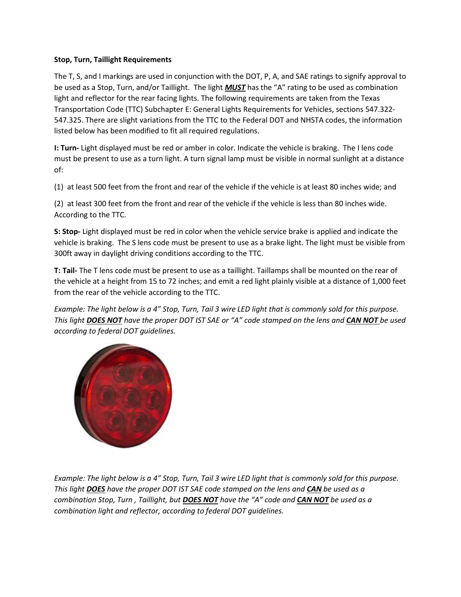#### **Stop, Turn, Taillight Requirements**

The T, S, and I markings are used in conjunction with the DOT, P, A, and SAE ratings to signify approval to be used as a Stop, Turn, and/or Taillight. The light *MUST* has the "A" rating to be used as combination light and reflector for the rear facing lights. The following requirements are taken from the Texas Transportation Code (TTC) Subchapter E: General Lights Requirements for Vehicles, sections 547.322- 547.325. There are slight variations from the TTC to the Federal DOT and NHSTA codes, the information listed below has been modified to fit all required regulations.

**I: Turn-** Light displayed must be red or amber in color. Indicate the vehicle is braking. The I lens code must be present to use as a turn light. A turn signal lamp must be visible in normal sunlight at a distance of:

(1) at least 500 feet from the front and rear of the vehicle if the vehicle is at least 80 inches wide; and

(2) at least 300 feet from the front and rear of the vehicle if the vehicle is less than 80 inches wide. According to the TTC.

**S: Stop-** Light displayed must be red in color when the vehicle service brake is applied and indicate the vehicle is braking. The S lens code must be present to use as a brake light. The light must be visible from 300ft away in daylight driving conditions according to the TTC.

**T: Tail-** The T lens code must be present to use as a taillight. Taillamps shall be mounted on the rear of the vehicle at a height from 15 to 72 inches; and emit a red light plainly visible at a distance of 1,000 feet from the rear of the vehicle according to the TTC.

*Example: The light below is a 4" Stop, Turn, Tail 3 wire LED light that is commonly sold for this purpose. This light DOES NOT have the proper DOT IST SAE or "A" code stamped on the lens and CAN NOT be used according to federal DOT guidelines.*



*Example: The light below is a 4" Stop, Turn, Tail 3 wire LED light that is commonly sold for this purpose. This light DOES have the proper DOT IST SAE code stamped on the lens and CAN be used as a combination Stop, Turn , Taillight, but DOES NOT have the "A" code and CAN NOT be used as a combination light and reflector, according to federal DOT guidelines.*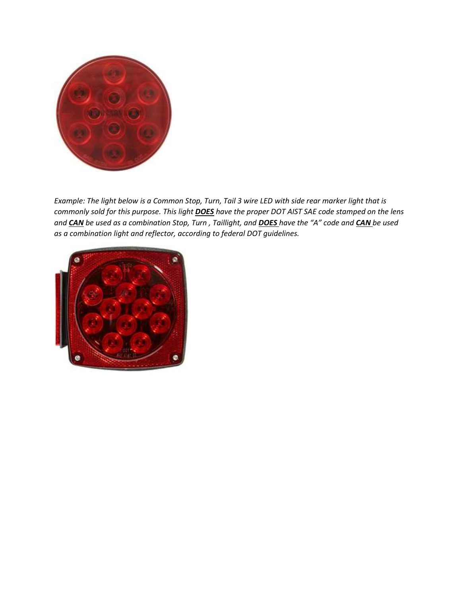

*Example: The light below is a Common Stop, Turn, Tail 3 wire LED with side rear marker light that is commonly sold for this purpose. This light DOES have the proper DOT AIST SAE code stamped on the lens and CAN be used as a combination Stop, Turn , Taillight, and DOES have the "A" code and CAN be used as a combination light and reflector, according to federal DOT guidelines.*

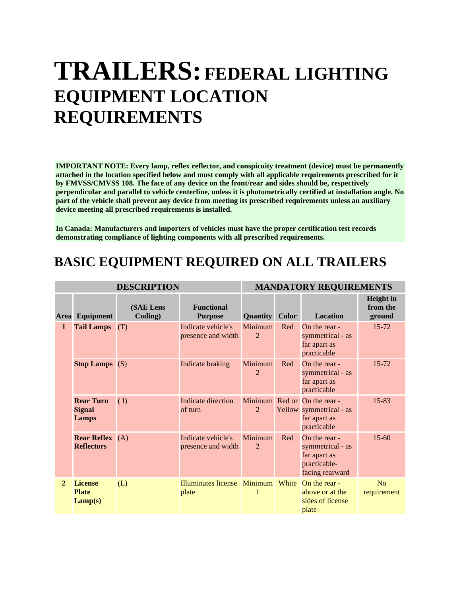# **TRAILERS:FEDERAL LIGHTING EQUIPMENT LOCATION REQUIREMENTS**

**IMPORTANT NOTE: Every lamp, reflex reflector, and conspicuity treatment (device) must be permanently attached in the location specified below and must comply with all applicable requirements prescribed for it by FMVSS/CMVSS 108. The face of any device on the front/rear and sides should be, respectively perpendicular and parallel to vehicle centerline, unless it is photometrically certified at installation angle. No part of the vehicle shall prevent any device from meeting its prescribed requirements unless an auxiliary device meeting all prescribed requirements is installed.**

**In Canada: Manufacturers and importers of vehicles must have the proper certification test records demonstrating compliance of lighting components with all prescribed requirements.**

# **BASIC EQUIPMENT REQUIRED ON ALL TRAILERS**

| <b>DESCRIPTION</b> |                                               |                      |                                          | <b>MANDATORY REQUIREMENTS</b> |              |                                                                                      |                                        |
|--------------------|-----------------------------------------------|----------------------|------------------------------------------|-------------------------------|--------------|--------------------------------------------------------------------------------------|----------------------------------------|
| Area               | Equipment                                     | (SAE Lens<br>Coding) | <b>Functional</b><br><b>Purpose</b>      | Quantity                      | <b>Color</b> | <b>Location</b>                                                                      | <b>Height</b> in<br>from the<br>ground |
| 1                  | <b>Tail Lamps</b>                             | (T)                  | Indicate vehicle's<br>presence and width | Minimum<br>$\mathfrak{D}$     | Red          | On the rear -<br>symmetrical - as<br>far apart as<br>practicable                     | $15 - 72$                              |
|                    | <b>Stop Lamps</b> $(S)$                       |                      | Indicate braking                         | Minimum<br>$\overline{2}$     | Red          | On the rear -<br>symmetrical - as<br>far apart as<br>practicable                     | $15 - 72$                              |
|                    | <b>Rear Turn</b><br><b>Signal</b><br>Lamps    | (I)                  | Indicate direction<br>of turn            | Minimum<br>$\mathfrak{D}$     |              | Red or On the rear -<br>Yellow symmetrical - as<br>far apart as<br>practicable       | $15 - 83$                              |
|                    | <b>Rear Reflex</b> $(A)$<br><b>Reflectors</b> |                      | Indicate vehicle's<br>presence and width | Minimum<br>$\overline{2}$     | Red          | On the rear -<br>symmetrical - as<br>far apart as<br>practicable-<br>facing rearward | $15 - 60$                              |
| $\mathbf{2}$       | <b>License</b><br><b>Plate</b><br>Lamp(s)     | (L)                  | Illuminates license Minimum<br>plate     | 1                             | White        | On the rear -<br>above or at the<br>sides of license<br>plate                        | No<br>requirement                      |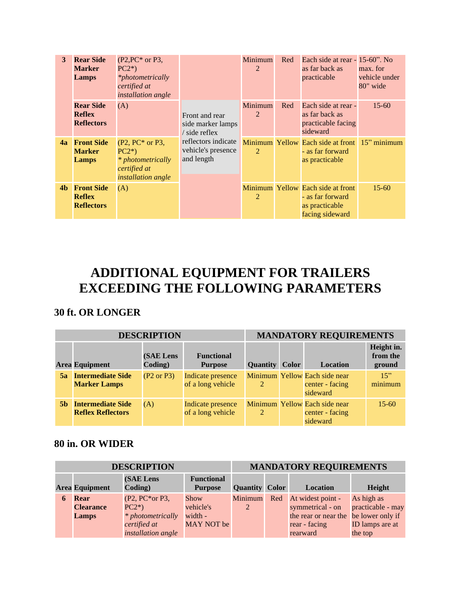| 3              | <b>Rear Side</b><br><b>Marker</b><br>Lamps              | $(P2, PC^*$ or P3,<br>$PC2*)$<br><i>*photometrically</i><br>certified at<br><i>installation</i> angle  |                                                                  | Minimum<br>$\overline{2}$ | Red | Each side at rear - 15-60". No<br>as far back as<br>practicable                            | max, for<br>vehicle under<br>80" wide |
|----------------|---------------------------------------------------------|--------------------------------------------------------------------------------------------------------|------------------------------------------------------------------|---------------------------|-----|--------------------------------------------------------------------------------------------|---------------------------------------|
|                | <b>Rear Side</b><br><b>Reflex</b><br><b>Reflectors</b>  | (A)                                                                                                    | Front and rear<br>side marker lamps<br>$\frac{1}{1}$ side reflex | Minimum<br>$\overline{2}$ | Red | Each side at rear -<br>as far back as<br>practicable facing<br>sideward                    | $15 - 60$                             |
| 4a             | <b>Front Side</b><br><b>Marker</b><br>Lamps             | $(P2, PC^*$ or P3,<br>$PC2*)$<br>* <i>photometrically</i><br>certified at<br><i>installation angle</i> | reflectors indicate<br>vehicle's presence<br>and length          | 2                         |     | Minimum Yellow Each side at front<br>- as far forward<br>as practicable                    | $15$ " minimum                        |
| 4 <sub>b</sub> | <b>Front Side</b><br><b>Reflex</b><br><b>Reflectors</b> | (A)                                                                                                    |                                                                  | 2                         |     | Minimum Yellow Each side at front<br>- as far forward<br>as practicable<br>facing sideward | $15 - 60$                             |

# **ADDITIONAL EQUIPMENT FOR TRAILERS EXCEEDING THE FOLLOWING PARAMETERS**

### **30 ft. OR LONGER**

| <b>DESCRIPTION</b> |                                                      |                       |                                        |                       | <b>MANDATORY REQUIREMENTS</b> |                                                              |                                  |  |  |
|--------------------|------------------------------------------------------|-----------------------|----------------------------------------|-----------------------|-------------------------------|--------------------------------------------------------------|----------------------------------|--|--|
|                    | <b>Area Equipment</b>                                | (SAE Lens<br>Coding)  | <b>Functional</b><br><b>Purpose</b>    | <b>Quantity Color</b> |                               | Location                                                     | Height in.<br>from the<br>ground |  |  |
| 5a                 | <b>Intermediate Side</b><br><b>Marker Lamps</b>      | $(P2 \text{ or } P3)$ | Indicate presence<br>of a long vehicle | 2                     |                               | Minimum Yellow Each side near<br>center - facing<br>sideward | 15"<br>minimum                   |  |  |
| 5 <sub>b</sub>     | <b>Intermediate Side</b><br><b>Reflex Reflectors</b> | (A)                   | Indicate presence<br>of a long vehicle | 2                     |                               | Minimum Yellow Each side near<br>center - facing<br>sideward | $15 - 60$                        |  |  |

### **80 in. OR WIDER**

| <b>DESCRIPTION</b> |                                                                                      |                                                                                          |                                                   | <b>MANDATORY REQUIREMENTS</b> |     |                                                                                                             |                                                               |
|--------------------|--------------------------------------------------------------------------------------|------------------------------------------------------------------------------------------|---------------------------------------------------|-------------------------------|-----|-------------------------------------------------------------------------------------------------------------|---------------------------------------------------------------|
|                    | (SAE Lens<br><b>Functional</b><br><b>Area Equipment</b><br>Coding)<br><b>Purpose</b> |                                                                                          |                                                   | <b>Quantity Color</b>         |     | Location                                                                                                    | Height                                                        |
|                    | <b>Rear</b><br><b>Clearance</b><br>Lamps                                             | $(P2, PC^*$ or P3,<br>$PC2*)$<br>* photometrically<br>certified at<br>installation angle | <b>Show</b><br>vehicle's<br>width -<br>MAY NOT be | Minimum                       | Red | At widest point -<br>symmetrical - on<br>the rear or near the be lower only if<br>rear - facing<br>rearward | As high as<br>practicable - may<br>ID lamps are at<br>the top |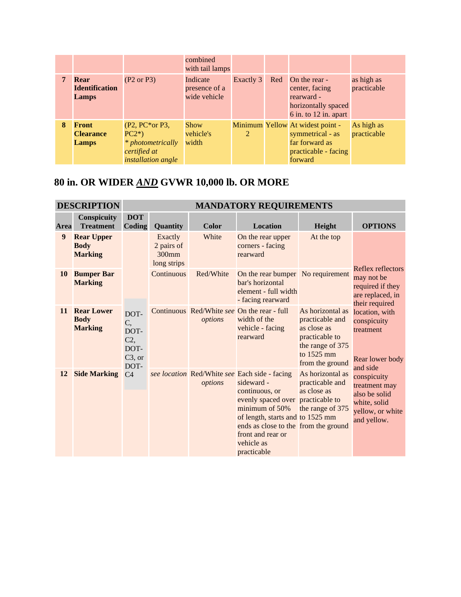|   |                                           |                                                                                        | combined<br>with tail lamps               |                |     |                                                                                                           |                           |
|---|-------------------------------------------|----------------------------------------------------------------------------------------|-------------------------------------------|----------------|-----|-----------------------------------------------------------------------------------------------------------|---------------------------|
|   | Rear<br><b>Identification</b><br>Lamps    | $(P2 \text{ or } P3)$                                                                  | Indicate<br>presence of a<br>wide vehicle | Exactly 3      | Red | On the rear -<br>center, facing<br>rearward -<br>horizontally spaced<br>$6$ in. to 12 in. apart           | as high as<br>practicable |
| 8 | <b>Front</b><br><b>Clearance</b><br>Lamps | $(P2, PC*or P3,$<br>$PC2^*$<br>* photometrically<br>certified at<br>installation angle | <b>Show</b><br>vehicle's<br>width         | $\overline{2}$ |     | Minimum Yellow At widest point -<br>symmetrical - as<br>far forward as<br>practicable - facing<br>forward | As high as<br>practicable |

### **80 in. OR WIDER** *AND* **GVWR 10,000 lb. OR MORE**

| <b>DESCRIPTION</b> |                                                    | <b>MANDATORY REQUIREMENTS</b>                                     |                                                           |              |                                                                                                                                                                                                                                                                    |                                                                                                                           |                                                                                                  |  |
|--------------------|----------------------------------------------------|-------------------------------------------------------------------|-----------------------------------------------------------|--------------|--------------------------------------------------------------------------------------------------------------------------------------------------------------------------------------------------------------------------------------------------------------------|---------------------------------------------------------------------------------------------------------------------------|--------------------------------------------------------------------------------------------------|--|
| Area               | Conspicuity<br><b>Treatment</b>                    | <b>DOT</b><br>Coding                                              | Quantity                                                  | <b>Color</b> | Location                                                                                                                                                                                                                                                           | Height                                                                                                                    | <b>OPTIONS</b>                                                                                   |  |
| 9                  | <b>Rear Upper</b><br><b>Body</b><br><b>Marking</b> |                                                                   | Exactly<br>2 pairs of<br>300 <sub>mm</sub><br>long strips | White        | On the rear upper<br>corners - facing<br>rearward                                                                                                                                                                                                                  | At the top                                                                                                                | Reflex reflectors<br>may not be<br>required if they<br>are replaced, in<br>their required        |  |
| 10                 | <b>Bumper Bar</b><br><b>Marking</b>                |                                                                   | Continuous                                                | Red/White    | On the rear bumper No requirement<br>bar's horizontal<br>element - full width<br>- facing rearward                                                                                                                                                                 |                                                                                                                           |                                                                                                  |  |
| 11                 | <b>Rear Lower</b><br><b>Body</b><br><b>Marking</b> | DOT-<br>C,<br>DOT-<br>C <sub>2</sub><br>DOT-<br>$C3$ , or<br>DOT- |                                                           | options      | Continuous Red/White see On the rear - full<br>width of the<br>vehicle - facing<br>rearward                                                                                                                                                                        | As horizontal as<br>practicable and<br>as close as<br>practicable to<br>the range of 375<br>to 1525 mm<br>from the ground | location, with<br>conspicuity<br>treatment<br>Rear lower body<br>and side                        |  |
| 12                 | <b>Side Marking</b>                                | C <sub>4</sub>                                                    |                                                           | options      | see location Red/White see Each side - facing<br>sideward -<br>continuous, or<br>evenly spaced over practicable to<br>minimum of 50%<br>of length, starts and to 1525 mm<br>ends as close to the from the ground<br>front and rear or<br>vehicle as<br>practicable | As horizontal as<br>practicable and<br>as close as<br>the range of 375                                                    | conspicuity<br>treatment may<br>also be solid<br>white, solid<br>yellow, or white<br>and yellow. |  |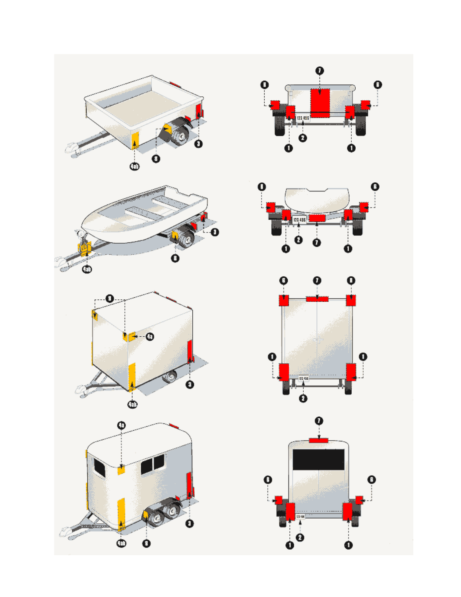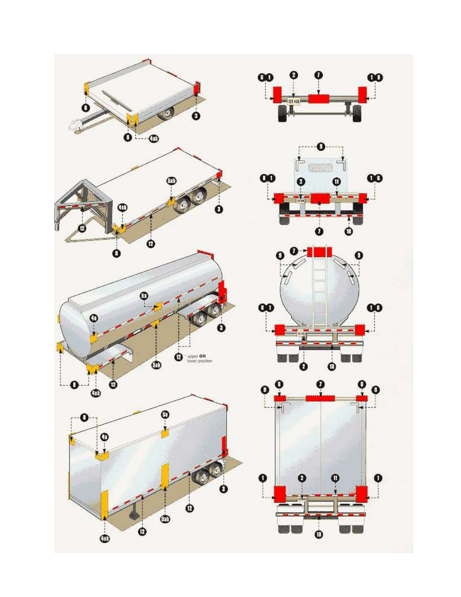